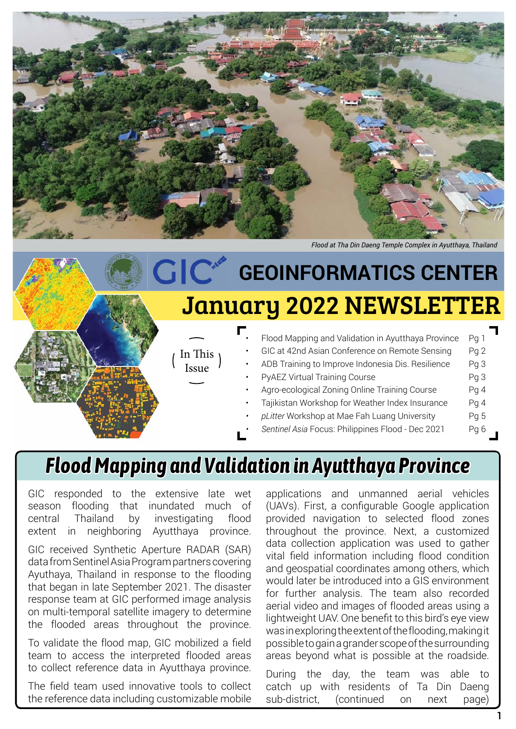

*Flood at Tha Din Daeng Temple Complex in Ayutthaya, Thailand*

#### • Flood Mapping and Validation in Ayutthaya Province Pg 1 GIC at 42nd Asian Conference on Remote Sensing Pg 2 ADB Training to Improve Indonesia Dis. Resilience Pg 3 PyAEZ Virtual Training Course **Prophetic Contract Prophetic Prophetic** Prophetic Prophetic Prophetic Prophetic Pro Agro-ecological Zoning Online Training Course Pg 4 • Tajikistan Workshop for Weather Index Insurance Pg 4 *• pLitter* Workshop at Mae Fah Luang University Pg 5 *Sentinel Asia* Focus: Philippines Flood - Dec 2021 Pg 6 In This Issue January 2022 NEWSLETTER **GIC<sup>®</sup>** GEOINFORMATICS CENTER

### *Flood Mapping and Validation in Ayutthaya Province*

GIC responded to the extensive late wet season flooding that inundated much of central Thailand by investigating flood extent in neighboring Ayutthaya province.

GIC received Synthetic Aperture RADAR (SAR) data from Sentinel Asia Program partners covering Ayuthaya, Thailand in response to the flooding that began in late September 2021. The disaster response team at GIC performed image analysis on multi-temporal satellite imagery to determine the flooded areas throughout the province.

To validate the flood map, GIC mobilized a field team to access the interpreted flooded areas to collect reference data in Ayutthaya province.

The field team used innovative tools to collect the reference data including customizable mobile

applications and unmanned aerial vehicles (UAVs). First, a configurable Google application provided navigation to selected flood zones throughout the province. Next, a customized data collection application was used to gather vital field information including flood condition and geospatial coordinates among others, which would later be introduced into a GIS environment for further analysis. The team also recorded aerial video and images of flooded areas using a lightweight UAV. One benefit to this bird's eye view was in exploring the extent of the flooding, making it possible to gain a grander scope of the surrounding areas beyond what is possible at the roadside.

During the day, the team was able to catch up with residents of Ta Din Daeng sub-district, (continued on next page)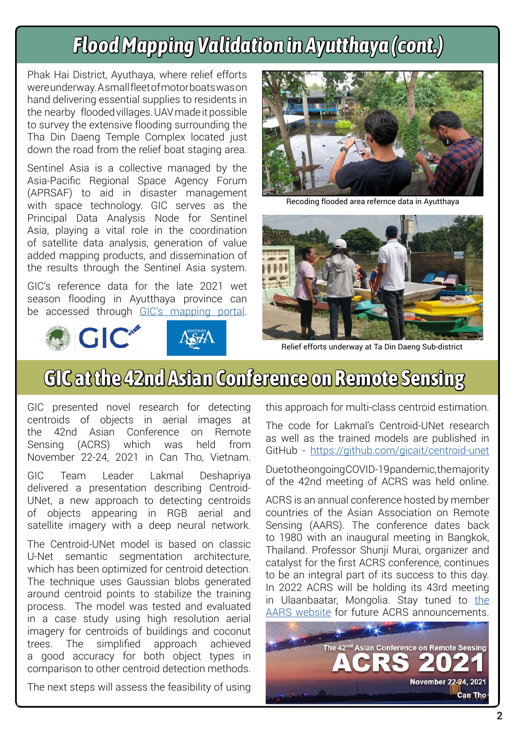# *Flood Mapping Validation in Ayutthaya (cont.)*

Phak Hai District, Ayuthaya, where relief efforts were underway. A small fleet of motor boats was on hand delivering essential supplies to residents in the nearby flooded villages. UAV made it possible to survey the extensive flooding surrounding the Tha Din Daeng Temple Complex located just down the road from the relief boat staging area.

Sentinel Asia is a collective managed by the Asia-Pacific Regional Space Agency Forum (APRSAF) to aid in disaster management with space technology. GIC serves as the Principal Data Analysis Node for Sentinel Asia, playing a vital role in the coordination of satellite data analysis, generation of value added mapping products, and dissemination of the results through the Sentinel Asia system.

GIC's reference data for the late 2021 wet season flooding in Ayutthaya province can be accessed through [GIC's mapping portal](https://gicait.maps.arcgis.com/apps/instant/attachmentviewer/index.html?appid=c8d4592e873b43aea663d42b2662aaf8).





Recoding flooded area refernce data in Ayutthaya



Relief efforts underway at Ta Din Daeng Sub-district

# **GIC at the 42nd Asian Conference on Remote Sensing**

GIC presented novel research for detecting centroids of objects in aerial images at the 42nd Asian Conference on Remote Sensing (ACRS) which was held from November 22-24, 2021 in Can Tho, Vietnam.

GIC Team Leader Lakmal Deshapriya delivered a presentation describing Centroid-UNet, a new approach to detecting centroids of objects appearing in RGB aerial and satellite imagery with a deep neural network.

The Centroid-UNet model is based on classic U-Net semantic segmentation architecture, which has been optimized for centroid detection. The technique uses Gaussian blobs generated around centroid points to stabilize the training process. The model was tested and evaluated in a case study using high resolution aerial imagery for centroids of buildings and coconut trees. The simplified approach achieved a good accuracy for both object types in comparison to other centroid detection methods.

The next steps will assess the feasibility of using

this approach for multi-class centroid estimation.

The code for Lakmal's Centroid-UNet research as well as the trained models are published in GitHub - [https://github.com/gicait/centroid-unet](https://github.com/gicait/centroid-unet  ) 

Due to the ongoing COVID-19 pandemic, the majority of the 42nd meeting of ACRS was held online.

ACRS is an annual conference hosted by member countries of the Asian Association on Remote Sensing (AARS). The conference dates back to 1980 with an inaugural meeting in Bangkok, Thailand. Professor Shunji Murai, organizer and catalyst for the first ACRS conference, continues to be an integral part of its success to this day. In 2022 ACRS will be holding its 43rd meeting in Ulaanbaatar, Mongolia. Stay tuned to the [AARS website](https://a-a-r-s.org/acrs/) for future ACRS announcements.

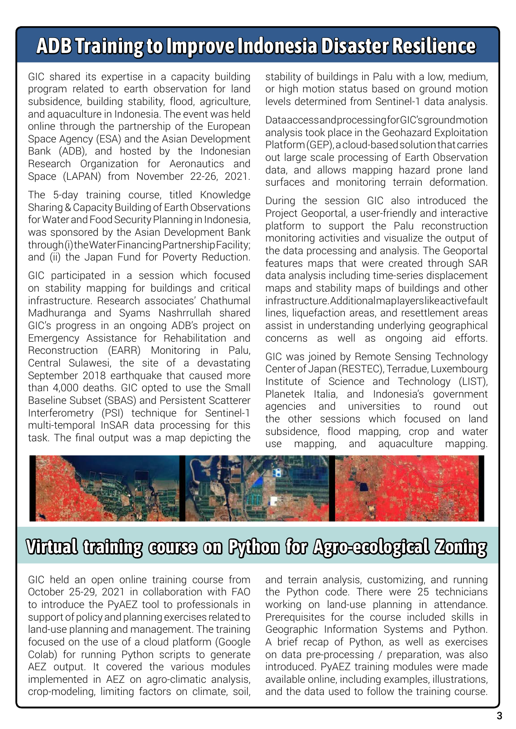## **ADB Training to Improve Indonesia Disaster Resilience**

GIC shared its expertise in a capacity building program related to earth observation for land subsidence, building stability, flood, agriculture, and aquaculture in Indonesia. The event was held online through the partnership of the European Space Agency (ESA) and the Asian Development Bank (ADB), and hosted by the Indonesian Research Organization for Aeronautics and Space (LAPAN) from November 22-26, 2021.

The 5-day training course, titled Knowledge Sharing & Capacity Building of Earth Observations for Water and Food Security Planning in Indonesia, was sponsored by the Asian Development Bank through (i) the Water Financing Partnership Facility; and (ii) the Japan Fund for Poverty Reduction.

GIC participated in a session which focused on stability mapping for buildings and critical infrastructure. Research associates' Chathumal Madhuranga and Syams Nashrrullah shared GIC's progress in an ongoing ADB's project on Emergency Assistance for Rehabilitation and Reconstruction (EARR) Monitoring in Palu, Central Sulawesi, the site of a devastating September 2018 earthquake that caused more than 4,000 deaths. GIC opted to use the Small Baseline Subset (SBAS) and Persistent Scatterer Interferometry (PSI) technique for Sentinel-1 multi-temporal InSAR data processing for this task. The final output was a map depicting the

stability of buildings in Palu with a low, medium, or high motion status based on ground motion levels determined from Sentinel-1 data analysis.

Data access and processing for GIC's ground motion analysis took place in the Geohazard Exploitation Platform (GEP), a cloud-based solution that carries out large scale processing of Earth Observation data, and allows mapping hazard prone land surfaces and monitoring terrain deformation.

During the session GIC also introduced the Project Geoportal, a user-friendly and interactive platform to support the Palu reconstruction monitoring activities and visualize the output of the data processing and analysis. The Geoportal features maps that were created through SAR data analysis including time-series displacement maps and stability maps of buildings and other infrastructure. Additional map layers like active fault lines, liquefaction areas, and resettlement areas assist in understanding underlying geographical concerns as well as ongoing aid efforts.

GIC was joined by Remote Sensing Technology Center of Japan (RESTEC), Terradue, Luxembourg Institute of Science and Technology (LIST), Planetek Italia, and Indonesia's government agencies and universities to round out the other sessions which focused on land subsidence, flood mapping, crop and water use mapping, and aquaculture mapping.



### **Virtual training course on Python for Agro-ecological Zoning**

GIC held an open online training course from October 25-29, 2021 in collaboration with FAO to introduce the PyAEZ tool to professionals in support of policy and planning exercises related to land-use planning and management. The training focused on the use of a cloud platform (Google Colab) for running Python scripts to generate AEZ output. It covered the various modules implemented in AEZ on agro-climatic analysis, crop-modeling, limiting factors on climate, soil,

and terrain analysis, customizing, and running the Python code. There were 25 technicians working on land-use planning in attendance. Prerequisites for the course included skills in Geographic Information Systems and Python. A brief recap of Python, as well as exercises on data pre-processing / preparation, was also introduced. PyAEZ training modules were made available online, including examples, illustrations, and the data used to follow the training course.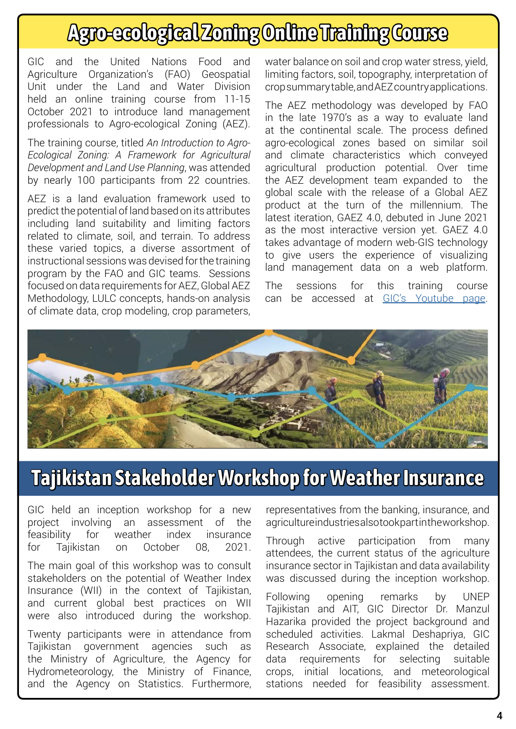# **Agro-ecological Zoning Online Training Course**

GIC and the United Nations Food and Agriculture Organization's (FAO) Geospatial Unit under the Land and Water Division held an online training course from 11-15 October 2021 to introduce land management professionals to Agro-ecological Zoning (AEZ).

The training course, titled *An Introduction to Agro-Ecological Zoning: A Framework for Agricultural Development and Land Use Planning*, was attended by nearly 100 participants from 22 countries.

AEZ is a land evaluation framework used to predict the potential of land based on its attributes including land suitability and limiting factors related to climate, soil, and terrain. To address these varied topics, a diverse assortment of instructional sessions was devised for the training program by the FAO and GIC teams. Sessions focused on data requirements for AEZ, Global AEZ Methodology, LULC concepts, hands-on analysis of climate data, crop modeling, crop parameters,

water balance on soil and crop water stress, yield, limiting factors, soil, topography, interpretation of crop summary table, and AEZ country applications.

The AEZ methodology was developed by FAO in the late 1970's as a way to evaluate land at the continental scale. The process defined agro-ecological zones based on similar soil and climate characteristics which conveyed agricultural production potential. Over time the AEZ development team expanded to the global scale with the release of a Global AEZ product at the turn of the millennium. The latest iteration, GAEZ 4.0, debuted in June 2021 as the most interactive version yet. GAEZ 4.0 takes advantage of modern web-GIS technology to give users the experience of visualizing land management data on a web platform.

The sessions for this training course can be accessed at [GIC's Youtube page](https://www.youtube.com/playlist?list=PLKdGIbtBVuW2Lc42sWqt-tQyiUJGVQVHz).



## **Tajikistan Stakeholder Workshop for Weather Insurance**

GIC held an inception workshop for a new project involving an assessment of the feasibility for weather index insurance for Tajikistan on October 08, 2021.

The main goal of this workshop was to consult stakeholders on the potential of Weather Index Insurance (WII) in the context of Tajikistan, and current global best practices on WII were also introduced during the workshop.

Twenty participants were in attendance from Tajikistan government agencies such as the Ministry of Agriculture, the Agency for Hydrometeorology, the Ministry of Finance, and the Agency on Statistics. Furthermore, representatives from the banking, insurance, and agriculture industries also took part in the workshop.

Through active participation from many attendees, the current status of the agriculture insurance sector in Tajikistan and data availability was discussed during the inception workshop.

Following opening remarks by UNEP Tajikistan and AIT, GIC Director Dr. Manzul Hazarika provided the project background and scheduled activities. Lakmal Deshapriya, GIC Research Associate, explained the detailed data requirements for selecting suitable crops, initial locations, and meteorological stations needed for feasibility assessment.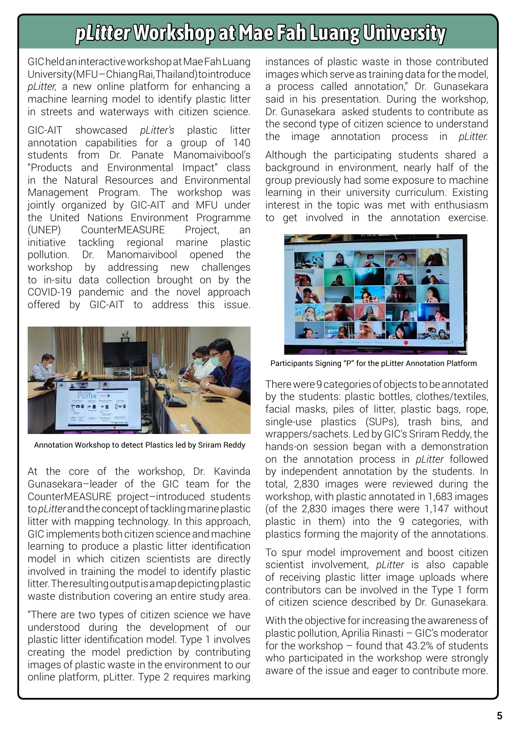## *pLitter* **Workshop at Mae Fah Luang University**

GIC held an interactive workshop at Mae Fah Luang University (MFU – Chiang Rai, Thailand) to introduce *pLitter,* a new online platform for enhancing a machine learning model to identify plastic litter in streets and waterways with citizen science.

GIC-AIT showcased *pLitter's* plastic litter annotation capabilities for a group of 140 students from Dr. Panate Manomaivibool's "Products and Environmental Impact" class in the Natural Resources and Environmental Management Program. The workshop was jointly organized by GIC-AIT and MFU under the United Nations Environment Programme (UNEP) CounterMEASURE Project, an initiative tackling regional marine plastic pollution. Dr. Manomaivibool opened the workshop by addressing new challenges to in-situ data collection brought on by the COVID-19 pandemic and the novel approach offered by GIC-AIT to address this issue.



Annotation Workshop to detect Plastics led by Sriram Reddy

At the core of the workshop, Dr. Kavinda Gunasekara–leader of the GIC team for the CounterMEASURE project–introduced students to *pLitter* and the concept of tackling marine plastic litter with mapping technology. In this approach, GIC implements both citizen science and machine learning to produce a plastic litter identification model in which citizen scientists are directly involved in training the model to identify plastic litter. The resulting output is a map depicting plastic waste distribution covering an entire study area.

"There are two types of citizen science we have understood during the development of our plastic litter identification model. Type 1 involves creating the model prediction by contributing images of plastic waste in the environment to our online platform, pLitter. Type 2 requires marking

instances of plastic waste in those contributed images which serve as training data for the model, a process called annotation," Dr. Gunasekara said in his presentation. During the workshop, Dr. Gunasekara asked students to contribute as the second type of citizen science to understand the image annotation process in *pLitter.*

Although the participating students shared a background in environment, nearly half of the group previously had some exposure to machine learning in their university curriculum. Existing interest in the topic was met with enthusiasm to get involved in the annotation exercise.



Participants Signing "P" for the pLitter Annotation Platform

There were 9 categories of objects to be annotated by the students: plastic bottles, clothes/textiles, facial masks, piles of litter, plastic bags, rope, single-use plastics (SUPs), trash bins, and wrappers/sachets. Led by GIC's Sriram Reddy, the hands-on session began with a demonstration on the annotation process in *pLitter* followed by independent annotation by the students. In total, 2,830 images were reviewed during the workshop, with plastic annotated in 1,683 images (of the 2,830 images there were 1,147 without plastic in them) into the 9 categories, with plastics forming the majority of the annotations.

To spur model improvement and boost citizen scientist involvement, *pLitter* is also capable of receiving plastic litter image uploads where contributors can be involved in the Type 1 form of citizen science described by Dr. Gunasekara.

With the objective for increasing the awareness of plastic pollution, Aprilia Rinasti – GIC's moderator for the workshop  $-$  found that 43.2% of students who participated in the workshop were strongly aware of the issue and eager to contribute more.